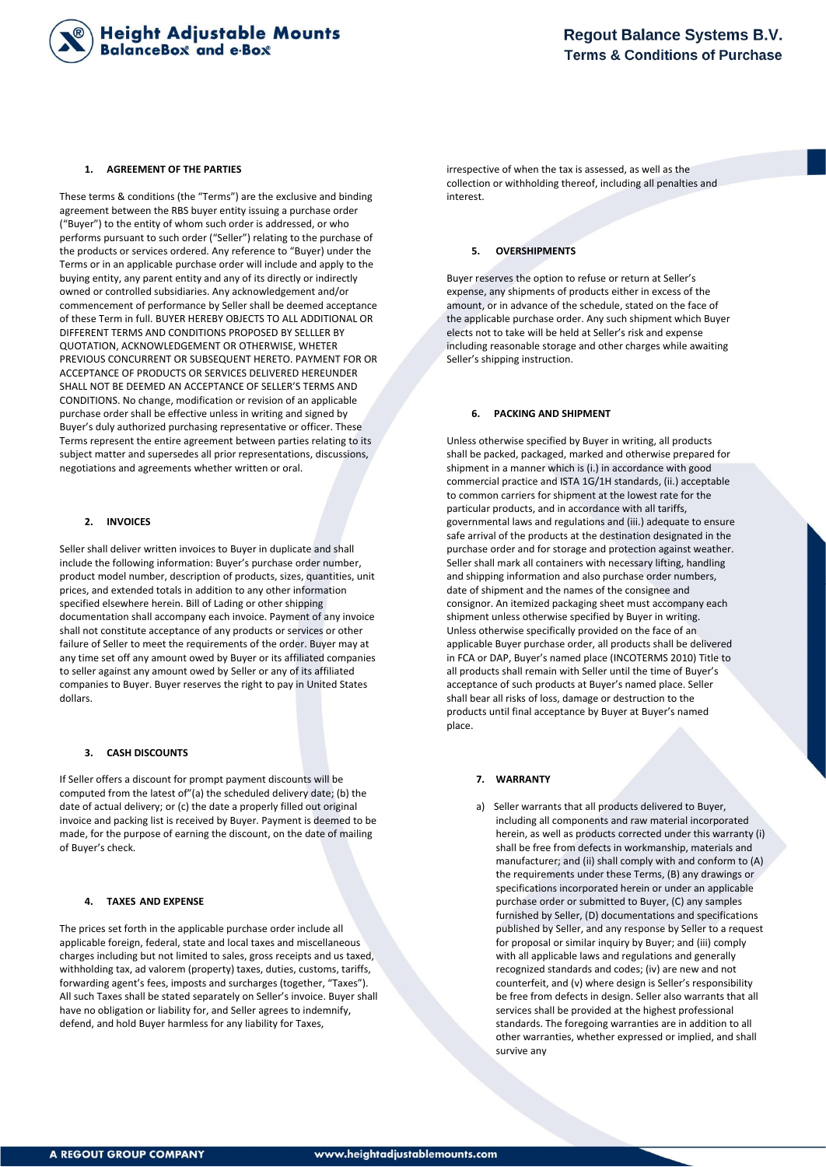

#### **1. AGREEMENT OF THE PARTIES**

These terms & conditions (the "Terms") are the exclusive and binding agreement between the RBS buyer entity issuing a purchase order ("Buyer") to the entity of whom such order is addressed, or who performs pursuant to such order ("Seller") relating to the purchase of the products or services ordered. Any reference to "Buyer) under the Terms or in an applicable purchase order will include and apply to the buying entity, any parent entity and any of its directly or indirectly owned or controlled subsidiaries. Any acknowledgement and/or commencement of performance by Seller shall be deemed acceptance of these Term in full. BUYER HEREBY OBJECTS TO ALL ADDITIONAL OR DIFFERENT TERMS AND CONDITIONS PROPOSED BY SELLLER BY QUOTATION, ACKNOWLEDGEMENT OR OTHERWISE, WHETER PREVIOUS CONCURRENT OR SUBSEQUENT HERETO. PAYMENT FOR OR ACCEPTANCE OF PRODUCTS OR SERVICES DELIVERED HEREUNDER SHALL NOT BE DEEMED AN ACCEPTANCE OF SELLER'S TERMS AND CONDITIONS. No change, modification or revision of an applicable purchase order shall be effective unless in writing and signed by Buyer's duly authorized purchasing representative or officer. These Terms represent the entire agreement between parties relating to its subject matter and supersedes all prior representations, discussions, negotiations and agreements whether written or oral.

## **2. INVOICES**

Seller shall deliver written invoices to Buyer in duplicate and shall include the following information: Buyer's purchase order number, product model number, description of products, sizes, quantities, unit prices, and extended totals in addition to any other information specified elsewhere herein. Bill of Lading or other shipping documentation shall accompany each invoice. Payment of any invoice shall not constitute acceptance of any products or services or other failure of Seller to meet the requirements of the order. Buyer may at any time set off any amount owed by Buyer or its affiliated companies to seller against any amount owed by Seller or any of its affiliated companies to Buyer. Buyer reserves the right to pay in United States dollars.

### **3. CASH DISCOUNTS**

If Seller offers a discount for prompt payment discounts will be computed from the latest of"(a) the scheduled delivery date; (b) the date of actual delivery; or (c) the date a properly filled out original invoice and packing list is received by Buyer. Payment is deemed to be made, for the purpose of earning the discount, on the date of mailing of Buyer's check.

#### **4. TAXES AND EXPENSE**

The prices set forth in the applicable purchase order include all applicable foreign, federal, state and local taxes and miscellaneous charges including but not limited to sales, gross receipts and us taxed, withholding tax, ad valorem (property) taxes, duties, customs, tariffs, forwarding agent's fees, imposts and surcharges (together, "Taxes"). All such Taxes shall be stated separately on Seller's invoice. Buyer shall have no obligation or liability for, and Seller agrees to indemnify, defend, and hold Buyer harmless for any liability for Taxes,

irrespective of when the tax is assessed, as well as the collection or withholding thereof, including all penalties and interest.

# **5. OVERSHIPMENTS**

Buyer reserves the option to refuse or return at Seller's expense, any shipments of products either in excess of the amount, or in advance of the schedule, stated on the face of the applicable purchase order. Any such shipment which Buyer elects not to take will be held at Seller's risk and expense including reasonable storage and other charges while awaiting Seller's shipping instruction.

## **6. PACKING AND SHIPMENT**

Unless otherwise specified by Buyer in writing, all products shall be packed, packaged, marked and otherwise prepared for shipment in a manner which is (i.) in accordance with good commercial practice and ISTA 1G/1H standards, (ii.) acceptable to common carriers for shipment at the lowest rate for the particular products, and in accordance with all tariffs, governmental laws and regulations and (iii.) adequate to ensure safe arrival of the products at the destination designated in the purchase order and for storage and protection against weather. Seller shall mark all containers with necessary lifting, handling and shipping information and also purchase order numbers, date of shipment and the names of the consignee and consignor. An itemized packaging sheet must accompany each shipment unless otherwise specified by Buyer in writing. Unless otherwise specifically provided on the face of an applicable Buyer purchase order, all products shall be delivered in FCA or DAP, Buyer's named place (INCOTERMS 2010) Title to all products shall remain with Seller until the time of Buyer's acceptance of such products at Buyer's named place. Seller shall bear all risks of loss, damage or destruction to the products until final acceptance by Buyer at Buyer's named place.

#### **7. WARRANTY**

a) Seller warrants that all products delivered to Buyer, including all components and raw material incorporated herein, as well as products corrected under this warranty (i) shall be free from defects in workmanship, materials and manufacturer; and (ii) shall comply with and conform to (A) the requirements under these Terms, (B) any drawings or specifications incorporated herein or under an applicable purchase order or submitted to Buyer, (C) any samples furnished by Seller, (D) documentations and specifications published by Seller, and any response by Seller to a request for proposal or similar inquiry by Buyer; and (iii) comply with all applicable laws and regulations and generally recognized standards and codes; (iv) are new and not counterfeit, and (v) where design is Seller's responsibility be free from defects in design. Seller also warrants that all services shall be provided at the highest professional standards. The foregoing warranties are in addition to all other warranties, whether expressed or implied, and shall survive any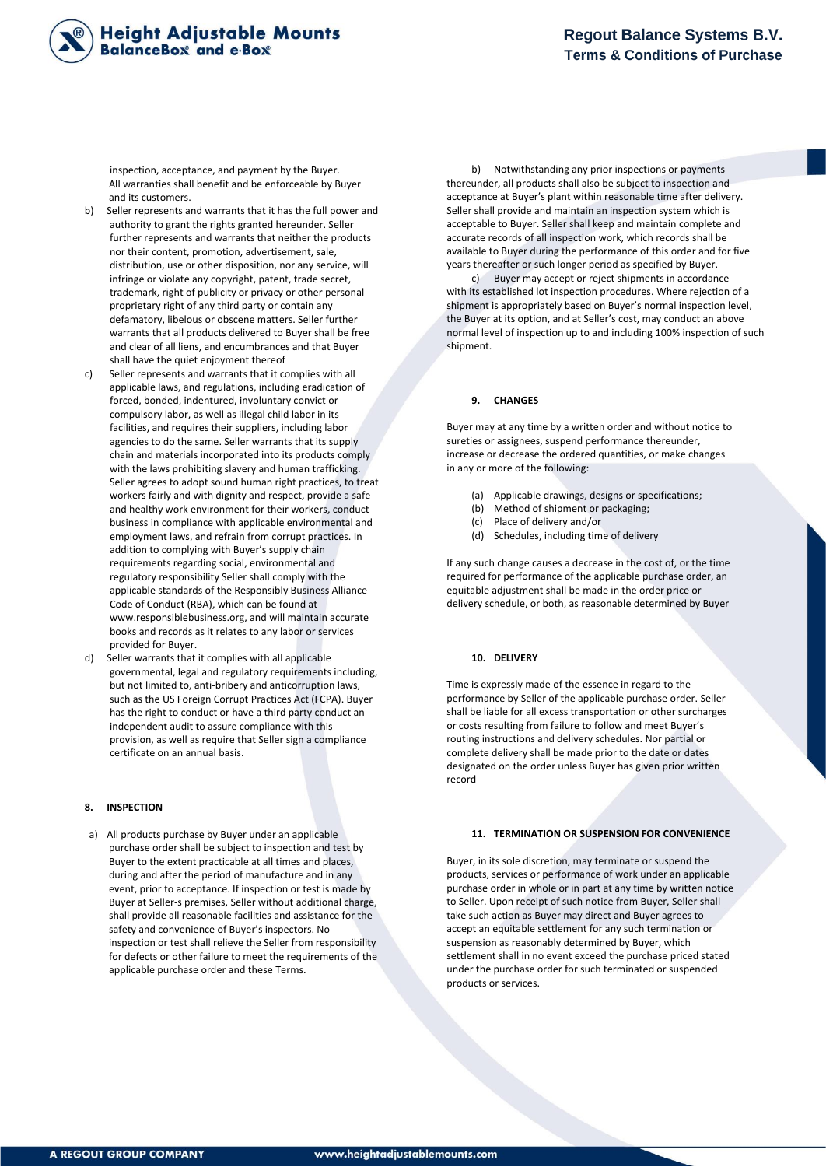

inspection, acceptance, and payment by the Buyer. All warranties shall benefit and be enforceable by Buyer and its customers.

- b) Seller represents and warrants that it has the full power and authority to grant the rights granted hereunder. Seller further represents and warrants that neither the products nor their content, promotion, advertisement, sale, distribution, use or other disposition, nor any service, will infringe or violate any copyright, patent, trade secret, trademark, right of publicity or privacy or other personal proprietary right of any third party or contain any defamatory, libelous or obscene matters. Seller further warrants that all products delivered to Buyer shall be free and clear of all liens, and encumbrances and that Buyer shall have the quiet enjoyment thereof
- c) Seller represents and warrants that it complies with all applicable laws, and regulations, including eradication of forced, bonded, indentured, involuntary convict or compulsory labor, as well as illegal child labor in its facilities, and requires their suppliers, including labor agencies to do the same. Seller warrants that its supply chain and materials incorporated into its products comply with the laws prohibiting slavery and human trafficking. Seller agrees to adopt sound human right practices, to treat workers fairly and with dignity and respect, provide a safe and healthy work environment for their workers, conduct business in compliance with applicable environmental and employment laws, and refrain from corrupt practices. In addition to complying with Buyer's supply chain requirements regarding social, environmental and regulatory responsibility Seller shall comply with the applicable standards of the Responsibly Business Alliance Code of Conduct (RBA), which can be found at www.responsiblebusiness.org, and will maintain accurate books and records as it relates to any labor or services provided for Buyer.
- Seller warrants that it complies with all applicable governmental, legal and regulatory requirements including, but not limited to, anti-bribery and anticorruption laws, such as the US Foreign Corrupt Practices Act (FCPA). Buyer has the right to conduct or have a third party conduct an independent audit to assure compliance with this provision, as well as require that Seller sign a compliance certificate on an annual basis.

### **8. INSPECTION**

a) All products purchase by Buyer under an applicable purchase order shall be subject to inspection and test by Buyer to the extent practicable at all times and places, during and after the period of manufacture and in any event, prior to acceptance. If inspection or test is made by Buyer at Seller-s premises, Seller without additional charge, shall provide all reasonable facilities and assistance for the safety and convenience of Buyer's inspectors. No inspection or test shall relieve the Seller from responsibility for defects or other failure to meet the requirements of the applicable purchase order and these Terms.

b) Notwithstanding any prior inspections or payments thereunder, all products shall also be subject to inspection and acceptance at Buyer's plant within reasonable time after delivery. Seller shall provide and maintain an inspection system which is acceptable to Buyer. Seller shall keep and maintain complete and accurate records of all inspection work, which records shall be available to Buyer during the performance of this order and for five years thereafter or such longer period as specified by Buyer.

c) Buyer may accept or reject shipments in accordance with its established lot inspection procedures. Where rejection of a shipment is appropriately based on Buyer's normal inspection level, the Buyer at its option, and at Seller's cost, may conduct an above normal level of inspection up to and including 100% inspection of such shipment.

### **9. CHANGES**

Buyer may at any time by a written order and without notice to sureties or assignees, suspend performance thereunder, increase or decrease the ordered quantities, or make changes in any or more of the following:

- (a) Applicable drawings, designs or specifications;
- (b) Method of shipment or packaging;
- (c) Place of delivery and/or
- (d) Schedules, including time of delivery

If any such change causes a decrease in the cost of, or the time required for performance of the applicable purchase order, an equitable adjustment shall be made in the order price or delivery schedule, or both, as reasonable determined by Buyer

### **10. DELIVERY**

Time is expressly made of the essence in regard to the performance by Seller of the applicable purchase order. Seller shall be liable for all excess transportation or other surcharges or costs resulting from failure to follow and meet Buyer's routing instructions and delivery schedules. Nor partial or complete delivery shall be made prior to the date or dates designated on the order unless Buyer has given prior written record

## **11. TERMINATION OR SUSPENSION FOR CONVENIENCE**

Buyer, in its sole discretion, may terminate or suspend the products, services or performance of work under an applicable purchase order in whole or in part at any time by written notice to Seller. Upon receipt of such notice from Buyer, Seller shall take such action as Buyer may direct and Buyer agrees to accept an equitable settlement for any such termination or suspension as reasonably determined by Buyer, which settlement shall in no event exceed the purchase priced stated under the purchase order for such terminated or suspended products or services.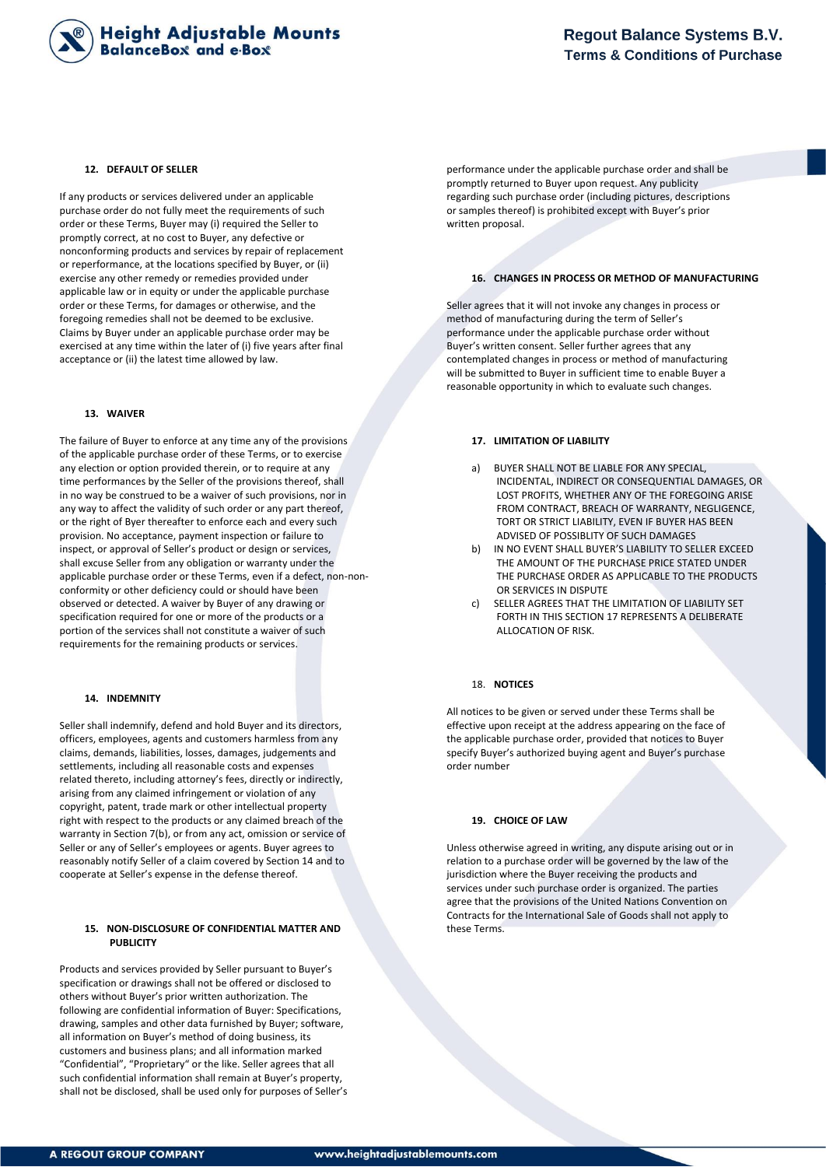

### **12. DEFAULT OF SELLER**

If any products or services delivered under an applicable purchase order do not fully meet the requirements of such order or these Terms, Buyer may (i) required the Seller to promptly correct, at no cost to Buyer, any defective or nonconforming products and services by repair of replacement or reperformance, at the locations specified by Buyer, or (ii) exercise any other remedy or remedies provided under applicable law or in equity or under the applicable purchase order or these Terms, for damages or otherwise, and the foregoing remedies shall not be deemed to be exclusive. Claims by Buyer under an applicable purchase order may be exercised at any time within the later of (i) five years after final acceptance or (ii) the latest time allowed by law.

## **13. WAIVER**

The failure of Buyer to enforce at any time any of the provisions of the applicable purchase order of these Terms, or to exercise any election or option provided therein, or to require at any time performances by the Seller of the provisions thereof, shall in no way be construed to be a waiver of such provisions, nor in any way to affect the validity of such order or any part thereof, or the right of Byer thereafter to enforce each and every such provision. No acceptance, payment inspection or failure to inspect, or approval of Seller's product or design or services, shall excuse Seller from any obligation or warranty under the applicable purchase order or these Terms, even if a defect, non-nonconformity or other deficiency could or should have been observed or detected. A waiver by Buyer of any drawing or specification required for one or more of the products or a portion of the services shall not constitute a waiver of such requirements for the remaining products or services.

### **14. INDEMNITY**

Seller shall indemnify, defend and hold Buyer and its directors, officers, employees, agents and customers harmless from any claims, demands, liabilities, losses, damages, judgements and settlements, including all reasonable costs and expenses related thereto, including attorney's fees, directly or indirectly, arising from any claimed infringement or violation of any copyright, patent, trade mark or other intellectual property right with respect to the products or any claimed breach of the warranty in Section 7(b), or from any act, omission or service of Seller or any of Seller's employees or agents. Buyer agrees to reasonably notify Seller of a claim covered by Section 14 and to cooperate at Seller's expense in the defense thereof.

### **15. NON-DISCLOSURE OF CONFIDENTIAL MATTER AND PUBLICITY**

Products and services provided by Seller pursuant to Buyer's specification or drawings shall not be offered or disclosed to others without Buyer's prior written authorization. The following are confidential information of Buyer: Specifications, drawing, samples and other data furnished by Buyer; software, all information on Buyer's method of doing business, its customers and business plans; and all information marked "Confidential", "Proprietary" or the like. Seller agrees that all such confidential information shall remain at Buyer's property, shall not be disclosed, shall be used only for purposes of Seller's performance under the applicable purchase order and shall be promptly returned to Buyer upon request. Any publicity regarding such purchase order (including pictures, descriptions or samples thereof) is prohibited except with Buyer's prior written proposal.

## **16. CHANGES IN PROCESS OR METHOD OF MANUFACTURING**

Seller agrees that it will not invoke any changes in process or method of manufacturing during the term of Seller's performance under the applicable purchase order without Buyer's written consent. Seller further agrees that any contemplated changes in process or method of manufacturing will be submitted to Buyer in sufficient time to enable Buyer a reasonable opportunity in which to evaluate such changes.

## **17. LIMITATION OF LIABILITY**

- a) BUYER SHALL NOT BE LIABLE FOR ANY SPECIAL, INCIDENTAL, INDIRECT OR CONSEQUENTIAL DAMAGES, OR LOST PROFITS, WHETHER ANY OF THE FOREGOING ARISE FROM CONTRACT, BREACH OF WARRANTY, NEGLIGENCE, TORT OR STRICT LIABILITY, EVEN IF BUYER HAS BEEN ADVISED OF POSSIBLITY OF SUCH DAMAGES
- b) IN NO EVENT SHALL BUYER'S LIABILITY TO SELLER EXCEED THE AMOUNT OF THE PURCHASE PRICE STATED UNDER THE PURCHASE ORDER AS APPLICABLE TO THE PRODUCTS OR SERVICES IN DISPUTE
- c) SELLER AGREES THAT THE LIMITATION OF LIABILITY SET FORTH IN THIS SECTION 17 REPRESENTS A DELIBERATE ALLOCATION OF RISK.

### 18. **NOTICES**

All notices to be given or served under these Terms shall be effective upon receipt at the address appearing on the face of the applicable purchase order, provided that notices to Buyer specify Buyer's authorized buying agent and Buyer's purchase order number

#### **19. CHOICE OF LAW**

Unless otherwise agreed in writing, any dispute arising out or in relation to a purchase order will be governed by the law of the jurisdiction where the Buyer receiving the products and services under such purchase order is organized. The parties agree that the provisions of the United Nations Convention on Contracts for the International Sale of Goods shall not apply to these Terms.